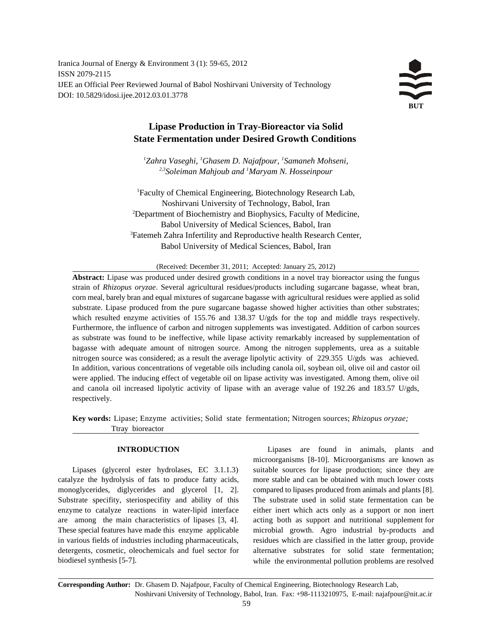Iranica Journal of Energy & Environment 3 (1): 59-65, 2012 ISSN 2079-2115 IJEE an Official Peer Reviewed Journal of Babol Noshirvani University of Technology DOI: 10.5829/idosi.ijee.2012.03.01.3778

# **Lipase Production in Tray-Bioreactor via Solid State Fermentation under Desired Growth Conditions**

<sup>1</sup>Zahra Vaseghi, <sup>1</sup>Ghasem D. Najafpour, <sup>1</sup>Samaneh Mohseni, <sup>2,3</sup> Soleiman Mahjoub and <sup>1</sup> Maryam N. Hosseinpour

Faculty of Chemical Engineering, Biotechnology Research Lab, <sup>1</sup> Noshirvani University of Technology, Babol, Iran 2 Department of Biochemistry and Biophysics, Faculty of Medicine, Babol University of Medical Sciences, Babol, Iran <sup>3</sup> Fatemeh Zahra Infertility and Reproductive health Research Center, Babol University of Medical Sciences, Babol, Iran

(Received: December 31, 2011; Accepted: January 25, 2012)

**Abstract:** Lipase was produced under desired growth conditions in a novel tray bioreactor using the fungus strain of *Rhizopus oryzae*. Several agricultural residues/products including sugarcane bagasse, wheat bran, corn meal, barely bran and equal mixtures of sugarcane bagasse with agricultural residues were applied as solid substrate. Lipase produced from the pure sugarcane bagasse showed higher activities than other substrates; which resulted enzyme activities of 155.76 and 138.37 U/gds for the top and middle trays respectively. Furthermore, the influence of carbon and nitrogen supplements was investigated. Addition of carbon sources as substrate was found to be ineffective, while lipase activity remarkably increased by supplementation of bagasse with adequate amount of nitrogen source. Among the nitrogen supplements, urea as a suitable nitrogen source was considered; as a result the average lipolytic activity of 229.355 U/gds was achieved. In addition, various concentrations of vegetable oils including canola oil, soybean oil, olive oil and castor oil were applied. The inducing effect of vegetable oil on lipase activity was investigated. Among them, olive oil and canola oil increased lipolytic activity of lipase with an average value of 192.26 and 183.57 U/gds, respectively.

**Key words:** Lipase; Enzyme activities; Solid state fermentation; Nitrogen sources; *Rhizopus oryzae;*  Ttray bioreactor

catalyze the hydrolysis of fats to produce fatty acids, more stable and can be obtained with much lower costs monoglycerides, diglycerides and glycerol [1, 2]. compared to lipases produced from animals and plants [8]. Substrate specifity, steriospecifity and ability of this The substrate used in solid state fermentation can be enzyme to catalyze reactions in water-lipid interface either inert which acts only as a support or non inert are among the main characteristics of lipases [3, 4]. acting both as support and nutritional supplement for These special features have made this enzyme applicable microbial growth. Agro industrial by-products and in various fields of industries including pharmaceuticals, detergents, cosmetic, oleochemicals and fuel sector for biodiesel synthesis [5-7].

**INTRODUCTION Lipases** are found in animals, plants and Lipases (glycerol ester hydrolases, EC 3.1.1.3) suitable sources for lipase production; since they are microorganisms [8-10]. Microorganisms are known as residues which are classified in the latter group, provide alternative substrates for solid state fermentation; while the environmental pollution problems are resolved

**Corresponding Author:** Dr. Ghasem D. Najafpour, Faculty of Chemical Engineering, Biotechnology Research Lab, Noshirvani University of Technology, Babol, Iran. Fax: +98-1113210975, E-mail: najafpour@nit.ac.ir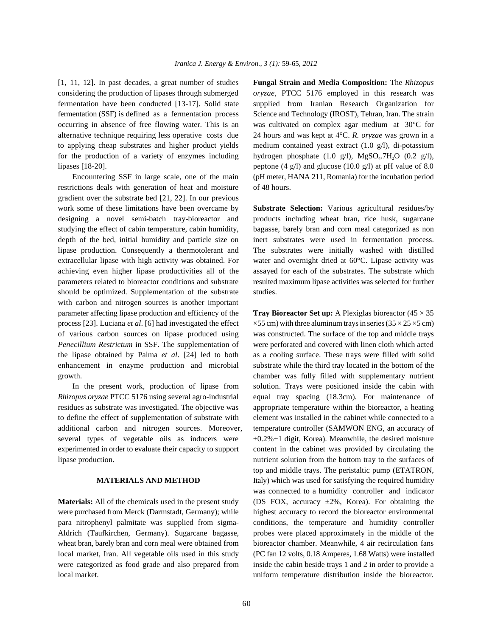considering the production of lipases through submerged *oryzae,* PTCC 5176 employed in this research was fermentation have been conducted [13-17]. Solid state supplied from Iranian Research Organization for fermentation (SSF) is defined as a fermentation process Science and Technology (IROST), Tehran, Iran. The strain occurring in absence of free flowing water. This is an was cultivated on complex agar medium at 30°C for alternative technique requiring less operative costs due 24 hours and was kept at 4°C. *R. oryzae* was grown in a to applying cheap substrates and higher product yields medium contained yeast extract (1.0 g/l), di-potassium for the production of a variety of enzymes including hydrogen phosphate  $(1.0 \text{ g/l})$ , MgSO<sub>4</sub>.7H<sub>2</sub>O  $(0.2 \text{ g/l})$ , lipases [18-20]. peptone (4 g/l) and glucose (10.0 g/l) at pH value of 8.0

restrictions deals with generation of heat and moisture of 48 hours. gradient over the substrate bed [21, 22]. In our previous work some of these limitations have been overcame by **Substrate Selection:** Various agricultural residues/by designing a novel semi-batch tray-bioreactor and products including wheat bran, rice husk, sugarcane studying the effect of cabin temperature, cabin humidity, bagasse, barely bran and corn meal categorized as non depth of the bed, initial humidity and particle size on inert substrates were used in fermentation process. lipase production. Consequently a thermotolerant and The substrates were initially washed with distilled extracellular lipase with high activity was obtained. For water and overnight dried at 60°C. Lipase activity was achieving even higher lipase productivities all of the assayed for each of the substrates. The substrate which parameters related to bioreactor conditions and substrate resulted maximum lipase activities was selected for further should be optimized. Supplementation of the substrate studies. with carbon and nitrogen sources is another important parameter affecting lipase production and efficiency of the **Tray Bioreactor Set up:** A Plexiglas bioreactor (45 × 35 process [23]. Luciana *et al.* [6] had investigated the effect  $\times$  55 cm) with three aluminum trays in series (35  $\times$  25  $\times$ 5 cm) of various carbon sources on lipase produced using was constructed. The surface of the top and middle trays *Penecillium Restrictum* in SSF. The supplementation of were perforated and covered with linen cloth which acted the lipase obtained by Palma *et al*. [24] led to both as a cooling surface. These trays were filled with solid enhancement in enzyme production and microbial substrate while the third tray located in the bottom of the growth. chamber was fully filled with supplementary nutrient

*Rhizopus oryzae* PTCC 5176 using several agro-industrial equal tray spacing (18.3cm). For maintenance of residues as substrate was investigated. The objective was appropriate temperature within the bioreactor, a heating to define the effect of supplementation of substrate with element was installed in the cabinet while connected to a additional carbon and nitrogen sources. Moreover, temperature controller (SAMWON ENG, an accuracy of several types of vegetable oils as inducers were  $\pm 0.2\% +1$  digit, Korea). Meanwhile, the desired moisture experimented in order to evaluate their capacity to support content in the cabinet was provided by circulating the lipase production. nutrient solution from the bottom tray to the surfaces of

were purchased from Merck (Darmstadt, Germany); while highest accuracy to record the bioreactor environmental para nitrophenyl palmitate was supplied from sigma- conditions, the temperature and humidity controller Aldrich (Taufkirchen, Germany). Sugarcane bagasse, probes were placed approximately in the middle of the wheat bran, barely bran and corn meal were obtained from bioreactor chamber. Meanwhile, 4 air recirculation fans local market, Iran. All vegetable oils used in this study (PC fan 12 volts, 0.18 Amperes, 1.68 Watts) were installed were categorized as food grade and also prepared from inside the cabin beside trays 1 and 2 in order to provide a local market. uniform temperature distribution inside the bioreactor.

[1, 11, 12]. In past decades, a great number of studies **Fungal Strain and Media Composition:** The *Rhizopus*  Encountering SSF in large scale, one of the main (pH meter, HANA 211, Romania) for the incubation period

In the present work, production of lipase from solution. Trays were positioned inside the cabin with **MATERIALS AND METHOD** Italy) which was used for satisfying the required humidity **Materials:** All of the chemicals used in the present study (DS FOX, accuracy  $\pm 2\%$ , Korea). For obtaining the top and middle trays. The peristaltic pump (ETATRON, was connected to a humidity controller and indicator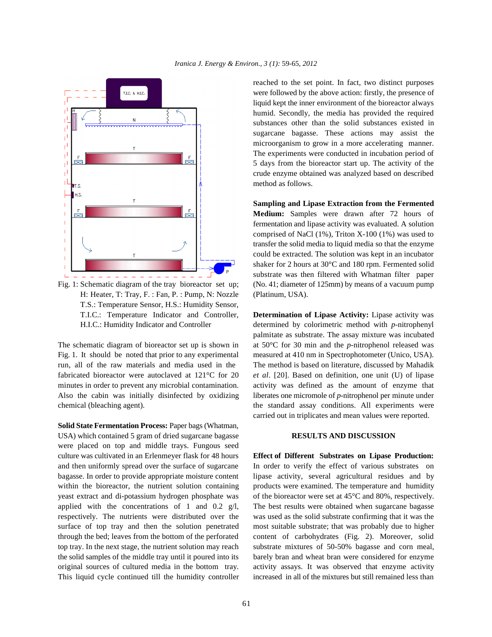

H: Heater, T: Tray, F. : Fan, P. : Pump, N: Nozzle (Platinum, USA). T.S.: Temperature Sensor, H.S.: Humidity Sensor, T.I.C.: Temperature Indicator and Controller, **Determination of Lipase Activity:** Lipase activity was

Fig. 1. It should be noted that prior to any experimental measured at 410 nm in Spectrophotometer (Unico, USA). run, all of the raw materials and media used in the The method is based on literature, discussed by Mahadik fabricated bioreactor were autoclaved at 121°C for 20 *et al*. [20]. Based on definition, one unit (U) of lipase minutes in order to prevent any microbial contamination. activity was defined as the amount of enzyme that Also the cabin was initially disinfected by oxidizing liberates one micromole of *p*-nitrophenol per minute under chemical (bleaching agent). the standard assay conditions. All experiments were

**Solid State Fermentation Process:** Paper bags (Whatman, USA) which contained 5 gram of dried sugarcane bagasse **RESULTS AND DISCUSSION** were placed on top and middle trays. Fungous seed culture was cultivated in an Erlenmeyer flask for 48 hours **Effect of Different Substrates on Lipase Production:** and then uniformly spread over the surface of sugarcane In order to verify the effect of various substrates on bagasse. In order to provide appropriate moisture content lipase activity, several agricultural residues and by within the bioreactor, the nutrient solution containing products were examined. The temperature and humidity yeast extract and di-potassium hydrogen phosphate was of the bioreactor were set at 45°C and 80%, respectively. applied with the concentrations of 1 and 0.2  $g/l$ , The best results were obtained when sugarcane bagasse respectively. The nutrients were distributed over the was used as the solid substrate confirming that it was the surface of top tray and then the solution penetrated most suitable substrate; that was probably due to higher through the bed; leaves from the bottom of the perforated content of carbohydrates (Fig. 2). Moreover, solid top tray. In the next stage, the nutrient solution may reach substrate mixtures of 50-50% bagasse and corn meal, the solid samples of the middle tray until it poured into its barely bran and wheat bran were considered for enzyme original sources of cultured media in the bottom tray. activity assays. It was observed that enzyme activity This liquid cycle continued till the humidity controller increased in all of the mixtures but still remained less than

reached to the set point. In fact, two distinct purposes were followed by the above action: firstly, the presence of liquid kept the inner environment of the bioreactor always humid. Secondly, the media has provided the required substances other than the solid substances existed in sugarcane bagasse. These actions may assist the microorganism to grow in a more accelerating manner. The experiments were conducted in incubation period of 5 days from the bioreactor start up. The activity of the crude enzyme obtained was analyzed based on described method as follows.

Fig. 1: Schematic diagram of the tray bioreactor set up; (No. 41; diameter of 125mm) by means of a vacuum pump **Sampling and Lipase Extraction from the Fermented Medium:** Samples were drawn after 72 hours of fermentation and lipase activity was evaluated. A solution comprised of NaCl (1%), Triton X-100 (1%) was used to transfer the solid media to liquid media so that the enzyme could be extracted. The solution was kept in an incubator shaker for 2 hours at 30°C and 180 rpm. Fermented solid substrate was then filtered with Whatman filter paper

H.I.C.: Humidity Indicator and Controller determined by colorimetric method with *p*-nitrophenyl The schematic diagram of bioreactor set up is shown in at  $50^{\circ}$ C for 30 min and the *p*-nitrophenol released was palmitate as substrate. The assay mixture was incubated carried out in triplicates and mean values were reported.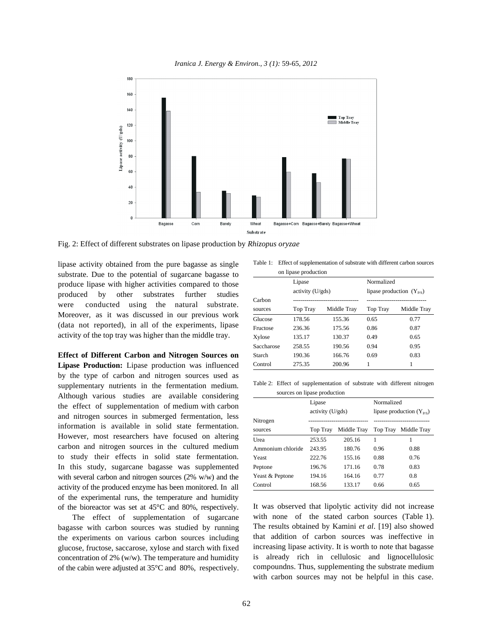*Iranica J. Energy & Environ., 3 (1):* 59-65*, 2012*



Fig. 2: Effect of different substrates on lipase production by *Rhizopus oryzae*

lipase activity obtained from the pure bagasse as single substrate. Due to the potential of sugarcane bagasse to produce lipase with higher activities compared to those produced by other substrates further studies were conducted using the natural substrate. Moreover, as it was discussed in our previous work (data not reported), in all of the experiments, lipase activity of the top tray was higher than the middle tray.

**Effect of Different Carbon and Nitrogen Sources on Lipase Production:** Lipase production was influenced by the type of carbon and nitrogen sources used as supplementary nutrients in the fermentation medium. Although various studies are available considering the effect of supplementation of medium with carbon and nitrogen sources in submerged fermentation, less information is available in solid state fermentation. However, most researchers have focused on altering carbon and nitrogen sources in the cultured medium to study their effects in solid state fermentation. In this study, sugarcane bagasse was supplemented with several carbon and nitrogen sources (2% w/w) and the activity of the produced enzyme has been monitored. In all of the experimental runs, the temperature and humidity of the bioreactor was set at 45°C and 80%, respectively.

The effect of supplementation of sugarcane bagasse with carbon sources was studied by running the experiments on various carbon sources including glucose, fructose, saccarose, xylose and starch with fixed concentration of 2% (w/w). The temperature and humidity of the cabin were adjusted at 35°C and 80%, respectively.

Table 1: Effect of supplementation of substrate with different carbon sources on lipase production

|            | Lipase           |             |                               | Normalized  |  |
|------------|------------------|-------------|-------------------------------|-------------|--|
|            | activity (U/gds) |             | lipase production $(Y_{P/S})$ |             |  |
| Carbon     |                  |             |                               |             |  |
| sources    | <b>Top Tray</b>  | Middle Tray | Top Tray                      | Middle Tray |  |
| Glucose    | 178.56           | 155.36      | 0.65                          | 0.77        |  |
| Fructose   | 236.36           | 175.56      | 0.86                          | 0.87        |  |
| Xylose     | 135.17           | 130.37      | 0.49                          | 0.65        |  |
| Saccharose | 258.55           | 190.56      | 0.94                          | 0.95        |  |
| Starch     | 190.36           | 166.76      | 0.69                          | 0.83        |  |
| Control    | 275.35           | 200.96      | 1                             |             |  |

Table 2: Effect of supplementation of substrate with different nitrogen sources on lipase production

|                   | Lipase           |             | Normalized                    |                      |
|-------------------|------------------|-------------|-------------------------------|----------------------|
|                   | activity (U/gds) |             | lipase production $(Y_{P/S})$ |                      |
| Nitrogen          |                  |             |                               |                      |
| sources           | <b>Top Tray</b>  | Middle Tray |                               | Top Tray Middle Tray |
| Urea              | 253.55           | 205.16      |                               |                      |
| Ammonium chloride | 243.95           | 180.76      | 0.96                          | 0.88                 |
| Yeast             | 222.76           | 155.16      | 0.88                          | 0.76                 |
| Peptone           | 196.76           | 171.16      | 0.78                          | 0.83                 |
| Yeast & Peptone   | 194.16           | 164.16      | 0.77                          | 0.8                  |
| Control           | 168.56           | 133.17      | 0.66                          | 0.65                 |

It was observed that lipolytic activity did not increase with none of the stated carbon sources (Table 1). The results obtained by Kamini *et al*. [19] also showed that addition of carbon sources was ineffective in increasing lipase activity. It is worth to note that bagasse is already rich in cellulosic and lignocellulosic compoundns. Thus, supplementing the substrate medium with carbon sources may not be helpful in this case.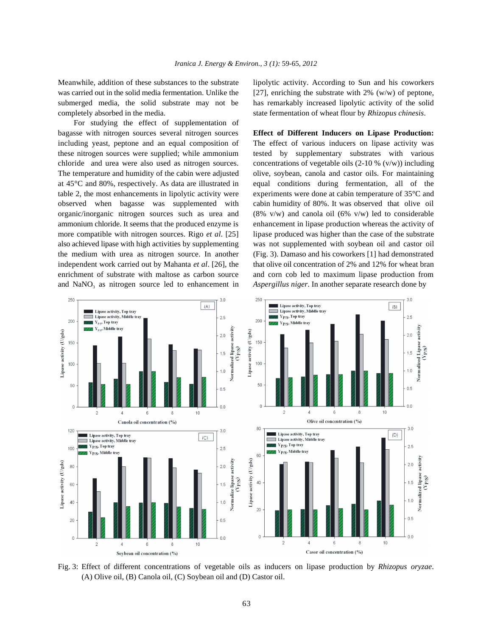was carried out in the solid media fermentation. Unlike the [27], enriching the substrate with 2% (w/w) of peptone, submerged media, the solid substrate may not be has remarkably increased lipolytic activity of the solid completely absorbed in the media. state fermentation of wheat flour by *Rhizopus chinesis*.

For studying the effect of supplementation of bagasse with nitrogen sources several nitrogen sources **Effect of Different Inducers on Lipase Production:** including yeast, peptone and an equal composition of The effect of various inducers on lipase activity was these nitrogen sources were supplied; while ammonium tested by supplementary substrates with various chloride and urea were also used as nitrogen sources. concentrations of vegetable oils  $(2-10\% (v/w))$  including The temperature and humidity of the cabin were adjusted olive, soybean, canola and castor oils. For maintaining at 45°C and 80%, respectively. As data are illustrated in equal conditions during fermentation, all of the table 2, the most enhancements in lipolytic activity were experiments were done at cabin temperature of  $35^{\circ}$ C and observed when bagasse was supplemented with cabin humidity of 80%. It was observed that olive oil organic/inorganic nitrogen sources such as urea and  $(8\% \text{ v/w})$  and canola oil  $(6\% \text{ v/w})$  led to considerable ammonium chloride. It seems that the produced enzyme is enhancement in lipase production whereas the activity of more compatible with nitrogen sources. Rigo *et al.* [25] lipase produced was higher than the case of the substrate also achieved lipase with high activities by supplementing was not supplemented with soybean oil and castor oil the medium with urea as nitrogen source. In another (Fig. 3). Damaso and his coworkers [1] had demonstrated independent work carried out by Mahanta *et al.* [26], the that olive oil concentration of 2% and 12% for wheat bran enrichment of substrate with maltose as carbon source and corn cob led to maximum lipase production from and NaNO<sub>3</sub> as nitrogen source led to enhancement in *Aspergillus niger*. In another separate research done by

Meanwhile, addition of these substances to the substrate lipolytic activity. According to Sun and his coworkers



Fig. 3: Effect of different concentrations of vegetable oils as inducers on lipase production by *Rhizopus oryzae*. (A) Olive oil, (B) Canola oil, (C) Soybean oil and (D) Castor oil.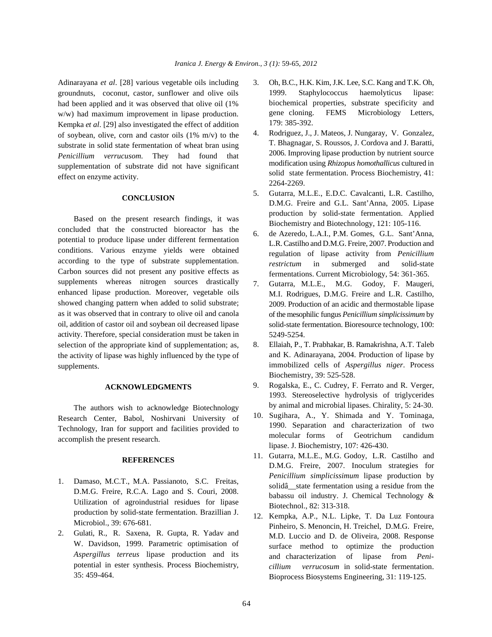Adinarayana *et al*. [28] various vegetable oils including 3. Oh, B.C., H.K. Kim, J.K. Lee, S.C. Kang and T.K. Oh, groundnuts, coconut, castor, sunflower and olive oils had been applied and it was observed that olive oil (1% w/w) had maximum improvement in lipase production. Kempka *et al*. [29] also investigated the effect of addition of soybean, olive, corn and castor oils (1% m/v) to the substrate in solid state fermentation of wheat bran using *Penicillium verrucusom*. They had found that supplementation of substrate did not have significant effect on enzyme activity.

### **CONCLUSION**

Based on the present research findings, it was concluded that the constructed bioreactor has the potential to produce lipase under different fermentation conditions. Various enzyme yields were obtained according to the type of substrate supplementation. Carbon sources did not present any positive effects as supplements whereas nitrogen sources drastically enhanced lipase production. Moreover, vegetable oils showed changing pattern when added to solid substrate; as it was observed that in contrary to olive oil and canola oil, addition of castor oil and soybean oil decreased lipase activity. Therefore, special consideration must be taken in selection of the appropriate kind of supplementation; as, the activity of lipase was highly influenced by the type of supplements.

### **ACKNOWLEDGMENTS**

The authors wish to acknowledge Biotechnology Research Center, Babol, Noshirvani University of Technology, Iran for support and facilities provided to accomplish the present research.

## **REFERENCES**

- 1. Damaso, M.C.T., M.A. Passianoto, S.C. Freitas, D.M.G. Freire, R.C.A. Lago and S. Couri, 2008. Utilization of agroindustrial residues for lipase production by solid-state fermentation. Brazillian J. Microbiol., 39: 676-681.
- 2. Gulati, R., R. Saxena, R. Gupta, R. Yadav and W. Davidson, 1999. Parametric optimisation of *Aspergillus terreus* lipase production and its potential in ester synthesis. Process Biochemistry, 35: 459-464.
- 1999. Staphylococcus haemolyticus lipase: biochemical properties, substrate specificity and gene cloning. FEMS Microbiology Letters, 179: 385-392.
- 4. Rodriguez, J., J. Mateos, J. Nungaray, V. Gonzalez, T. Bhagnagar, S. Roussos, J. Cordova and J. Baratti, 2006. Improving lipase production by nutrient source modification using *Rhizopus homothallicus* cultured in solid state fermentation. Process Biochemistry, 41: 2264-2269.
- 5. Gutarra, M.L.E., E.D.C. Cavalcanti, L.R. Castilho, D.M.G. Freire and G.L. Sant'Anna, 2005. Lipase production by solid-state fermentation. Applied Biochemistry and Biotechnology, 121: 105-116.
- 6. de Azeredo, L.A.I., P.M. Gomes, G.L. Sant'Anna, L.R. Castilho and D.M.G. Freire, 2007. Production and regulation of lipase activity from *Penicillium restrictum* in submerged and solid-state fermentations. Current Microbiology, 54: 361-365.
- 7. Gutarra, M.L.E., M.G. Godoy, F. Maugeri, M.I. Rodrigues, D.M.G. Freire and L.R. Castilho, 2009. Production of an acidic and thermostable lipase of the mesophilic fungus *Penicillium simplicissimum* by solid-state fermentation. Bioresource technology, 100: 5249-5254.
- 8. Ellaiah, P., T. Prabhakar, B. Ramakrishna, A.T. Taleb and K. Adinarayana, 2004. Production of lipase by immobilized cells of *Aspergillus niger*. Process Biochemistry, 39: 525-528.
- 9. Rogalska, E., C. Cudrey, F. Ferrato and R. Verger, 1993. Stereoselective hydrolysis of triglycerides by animal and microbial lipases. Chirality, 5: 24-30.
- 10. Sugihara, A., Y. Shimada and Y. Tominaga, 1990. Separation and characterization of two molecular forms of Geotrichum candidum lipase. J. Biochemistry, 107: 426-430.
- 11. Gutarra, M.L.E., M.G. Godoy, L.R. Castilho and D.M.G. Freire, 2007. Inoculum strategies for *Penicillium simplicissimum* lipase production by solidâ\_\_state fermentation using a residue from the babassu oil industry. J. Chemical Technology & Biotechnol., 82: 313-318.
- 12. Kempka, A.P., N.L. Lipke, T. Da Luz Fontoura Pinheiro, S. Menoncin, H. Treichel, D.M.G. Freire, M.D. Luccio and D. de Oliveira, 2008. Response surface method to optimize the production and characterization of lipase from *Penicillium verrucosum* in solid-state fermentation. Bioprocess Biosystems Engineering, 31: 119-125.